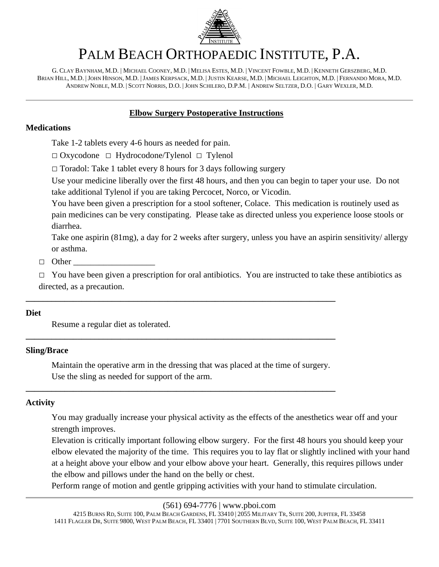

# PALM BEACH ORTHOPAEDIC INSTITUTE, P.A.

G. CLAY BAYNHAM, M.D. | MICHAEL COONEY, M.D. | MELISA ESTES, M.D. | VINCENT FOWBLE, M.D. | KENNETH GERSZBERG, M.D. BRIAN HILL, M.D. |JOHN HINSON, M.D. |JAMES KERPSACK, M.D. |JUSTIN KEARSE, M.D. | MICHAEL LEIGHTON, M.D. | FERNANDO MORA, M.D. ANDREW NOBLE, M.D. | SCOTT NORRIS, D.O. |JOHN SCHILERO, D.P.M. | ANDREW SELTZER, D.O. | GARY WEXLER, M.D.

## **Elbow Surgery Postoperative Instructions**

### **Medications**

Take 1-2 tablets every 4-6 hours as needed for pain.

□ Oxycodone □ Hydrocodone/Tylenol □ Tylenol

 $\Box$  Toradol: Take 1 tablet every 8 hours for 3 days following surgery

Use your medicine liberally over the first 48 hours, and then you can begin to taper your use. Do not take additional Tylenol if you are taking Percocet, Norco, or Vicodin.

You have been given a prescription for a stool softener, Colace. This medication is routinely used as pain medicines can be very constipating. Please take as directed unless you experience loose stools or diarrhea.

Take one aspirin (81mg), a day for 2 weeks after surgery, unless you have an aspirin sensitivity/ allergy or asthma.

 $\Box$  Other

 $\Box$  You have been given a prescription for oral antibiotics. You are instructed to take these antibiotics as directed, as a precaution.

## **Diet**

Resume a regular diet as tolerated.

## **Sling/Brace**

Maintain the operative arm in the dressing that was placed at the time of surgery. Use the sling as needed for support of the arm.

**\_\_\_\_\_\_\_\_\_\_\_\_\_\_\_\_\_\_\_\_\_\_\_\_\_\_\_\_\_\_\_\_\_\_\_\_\_\_\_\_\_\_\_\_\_\_\_\_\_\_\_\_\_\_\_\_\_\_\_\_\_\_\_\_\_\_\_\_\_\_\_\_**

**\_\_\_\_\_\_\_\_\_\_\_\_\_\_\_\_\_\_\_\_\_\_\_\_\_\_\_\_\_\_\_\_\_\_\_\_\_\_\_\_\_\_\_\_\_\_\_\_\_\_\_\_\_\_\_\_\_\_\_\_\_\_\_\_\_\_\_\_\_\_\_\_**

**\_\_\_\_\_\_\_\_\_\_\_\_\_\_\_\_\_\_\_\_\_\_\_\_\_\_\_\_\_\_\_\_\_\_\_\_\_\_\_\_\_\_\_\_\_\_\_\_\_\_\_\_\_\_\_\_\_\_\_\_\_\_\_\_\_\_\_\_\_\_\_\_**

## **Activity**

You may gradually increase your physical activity as the effects of the anesthetics wear off and your strength improves.

Elevation is critically important following elbow surgery. For the first 48 hours you should keep your elbow elevated the majority of the time. This requires you to lay flat or slightly inclined with your hand at a height above your elbow and your elbow above your heart. Generally, this requires pillows under the elbow and pillows under the hand on the belly or chest.

Perform range of motion and gentle gripping activities with your hand to stimulate circulation.

#### (561) 694-7776 | www.pboi.com

4215 BURNS RD, SUITE 100, PALM BEACH GARDENS, FL 33410 | 2055 MILITARY TR, SUITE 200, JUPITER, FL 33458 1411 FLAGLER DR, SUITE 9800, WEST PALM BEACH, FL 33401 | 7701 SOUTHERN BLVD, SUITE 100, WEST PALM BEACH, FL 33411